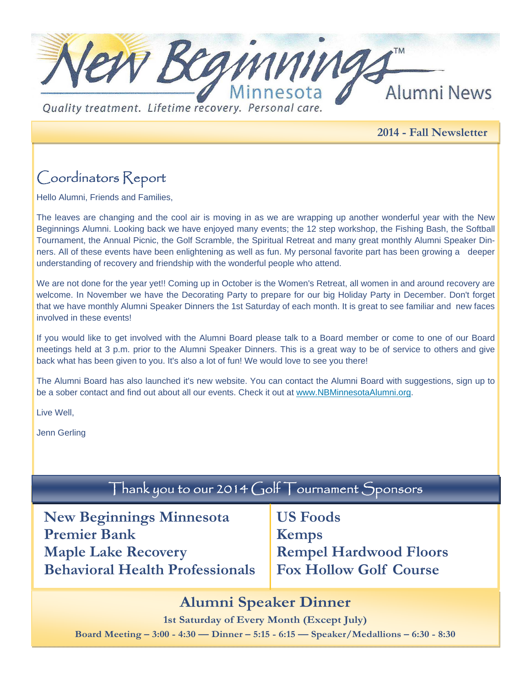

**2014 - Fall Newsletter** 

# Coordinators Report

Hello Alumni, Friends and Families,

The leaves are changing and the cool air is moving in as we are wrapping up another wonderful year with the New Beginnings Alumni. Looking back we have enjoyed many events; the 12 step workshop, the Fishing Bash, the Softball Tournament, the Annual Picnic, the Golf Scramble, the Spiritual Retreat and many great monthly Alumni Speaker Dinners. All of these events have been enlightening as well as fun. My personal favorite part has been growing a deeper understanding of recovery and friendship with the wonderful people who attend.

We are not done for the year yet!! Coming up in October is the Women's Retreat, all women in and around recovery are welcome. In November we have the Decorating Party to prepare for our big Holiday Party in December. Don't forget that we have monthly Alumni Speaker Dinners the 1st Saturday of each month. It is great to see familiar and new faces involved in these events!

If you would like to get involved with the Alumni Board please talk to a Board member or come to one of our Board meetings held at 3 p.m. prior to the Alumni Speaker Dinners. This is a great way to be of service to others and give back what has been given to you. It's also a lot of fun! We would love to see you there!

The Alumni Board has also launched it's new website. You can contact the Alumni Board with suggestions, sign up to be a sober contact and find out about all our events. Check it out at www.NBMinnesotaAlumni.org.

Live Well,

Jenn Gerling

# Thank you to our 2014 Golf Tournament Sponsors

| <b>New Beginnings Minnesota</b>        | US.            |
|----------------------------------------|----------------|
| <b>Premier Bank</b>                    | <b>Ke</b>      |
| <b>Maple Lake Recovery</b>             | Re             |
| <b>Behavioral Health Professionals</b> | F <sub>0</sub> |

**S** Foods **emps Empel Hardwood Floors Fox Hollow Golf Course** 

### **Alumni Speaker Dinner**

**1st Saturday of Every Month (Except July) Board Meeting – 3:00 - 4:30 — Dinner – 5:15 - 6:15 — Speaker/Medallions – 6:30 - 8:30**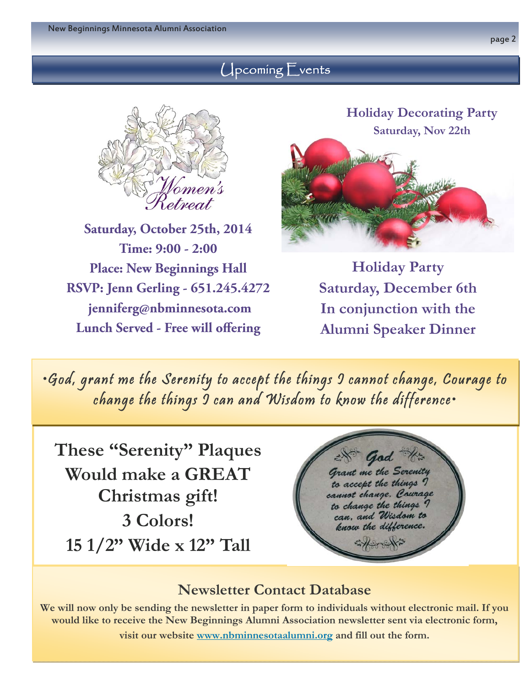### Upcoming Events



**Saturday, October 25th, 2014 Time: 9:00 - 2:00 Place: New Beginnings Hall RSVP: Jenn Gerling - 651.245.4272 jenniferg@nbminnesota.com Lunch Served - Free will offering** 



**Holiday Party Saturday, December 6th In conjunction with the Alumni Speaker Dinner** 

•God, grant me the Serenity to accept the things I cannot change, Courage to change the things I can and Wisdom to know the difference•

**These "Serenity" Plaques Would make a GREAT Christmas gift! 3 Colors! 15 1/2" Wide x 12" Tall**



### **Newsletter Contact Database**

**We will now only be sending the newsletter in paper form to individuals without electronic mail. If you would like to receive the New Beginnings Alumni Association newsletter sent via electronic form,** 

**visit our website www.nbminnesotaalumni.org and fill out the form.**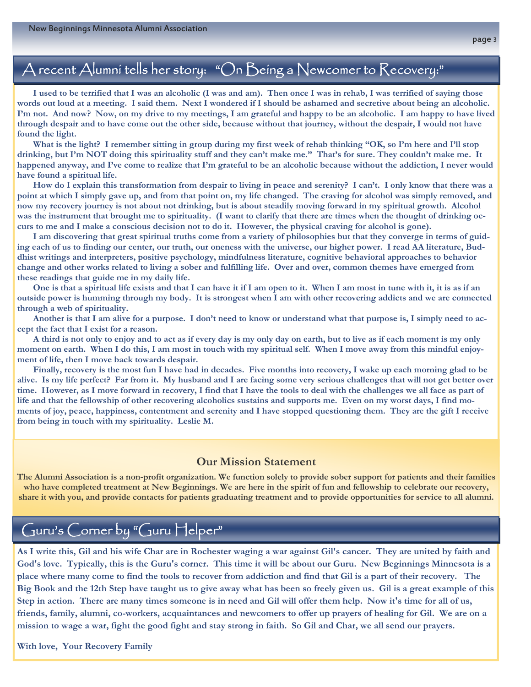## A recent Alumni tells her story: "On Being a Newcomer to Recovery:"

 **I used to be terrified that I was an alcoholic (I was and am). Then once I was in rehab, I was terrified of saying those words out loud at a meeting. I said them. Next I wondered if I should be ashamed and secretive about being an alcoholic. I'm not. And now? Now, on my drive to my meetings, I am grateful and happy to be an alcoholic. I am happy to have lived through despair and to have come out the other side, because without that journey, without the despair, I would not have found the light.** 

What is the light? I remember sitting in group during my first week of rehab thinking "OK, so I'm here and I'll stop **drinking, but I'm NOT doing this spirituality stuff and they can't make me." That's for sure. They couldn't make me. It happened anyway, and I've come to realize that I'm grateful to be an alcoholic because without the addiction, I never would have found a spiritual life.** 

 **How do I explain this transformation from despair to living in peace and serenity? I can't. I only know that there was a point at which I simply gave up, and from that point on, my life changed. The craving for alcohol was simply removed, and now my recovery journey is not about not drinking, but is about steadily moving forward in my spiritual growth. Alcohol was the instrument that brought me to spirituality. (I want to clarify that there are times when the thought of drinking occurs to me and I make a conscious decision not to do it. However, the physical craving for alcohol is gone).** 

 **I am discovering that great spiritual truths come from a variety of philosophies but that they converge in terms of guiding each of us to finding our center, our truth, our oneness with the universe, our higher power. I read AA literature, Buddhist writings and interpreters, positive psychology, mindfulness literature, cognitive behavioral approaches to behavior change and other works related to living a sober and fulfilling life. Over and over, common themes have emerged from these readings that guide me in my daily life.** 

 **One is that a spiritual life exists and that I can have it if I am open to it. When I am most in tune with it, it is as if an outside power is humming through my body. It is strongest when I am with other recovering addicts and we are connected through a web of spirituality.** 

 **Another is that I am alive for a purpose. I don't need to know or understand what that purpose is, I simply need to accept the fact that I exist for a reason.** 

 **A third is not only to enjoy and to act as if every day is my only day on earth, but to live as if each moment is my only moment on earth. When I do this, I am most in touch with my spiritual self. When I move away from this mindful enjoyment of life, then I move back towards despair.** 

 **Finally, recovery is the most fun I have had in decades. Five months into recovery, I wake up each morning glad to be alive. Is my life perfect? Far from it. My husband and I are facing some very serious challenges that will not get better over time. However, as I move forward in recovery, I find that I have the tools to deal with the challenges we all face as part of life and that the fellowship of other recovering alcoholics sustains and supports me. Even on my worst days, I find moments of joy, peace, happiness, contentment and serenity and I have stopped questioning them. They are the gift I receive from being in touch with my spirituality. Leslie M.** 

#### **Our Mission Statement**

**The Alumni Association is a non-profit organization. We function solely to provide sober support for patients and their families who have completed treatment at New Beginnings. We are here in the spirit of fun and fellowship to celebrate our recovery, share it with you, and provide contacts for patients graduating treatment and to provide opportunities for service to all alumni.** 

# Guru's Corner by "Guru Helper"

**As I write this, Gil and his wife Char are in Rochester waging a war against Gil's cancer. They are united by faith and God's love. Typically, this is the Guru's corner. This time it will be about our Guru. New Beginnings Minnesota is a place where many come to find the tools to recover from addiction and find that Gil is a part of their recovery. The Big Book and the 12th Step have taught us to give away what has been so freely given us. Gil is a great example of this Step in action. There are many times someone is in need and Gil will offer them help. Now it's time for all of us, friends, family, alumni, co-workers, acquaintances and newcomers to offer up prayers of healing for Gil. We are on a mission to wage a war, fight the good fight and stay strong in faith. So Gil and Char, we all send our prayers.** 

**With love, Your Recovery Family**